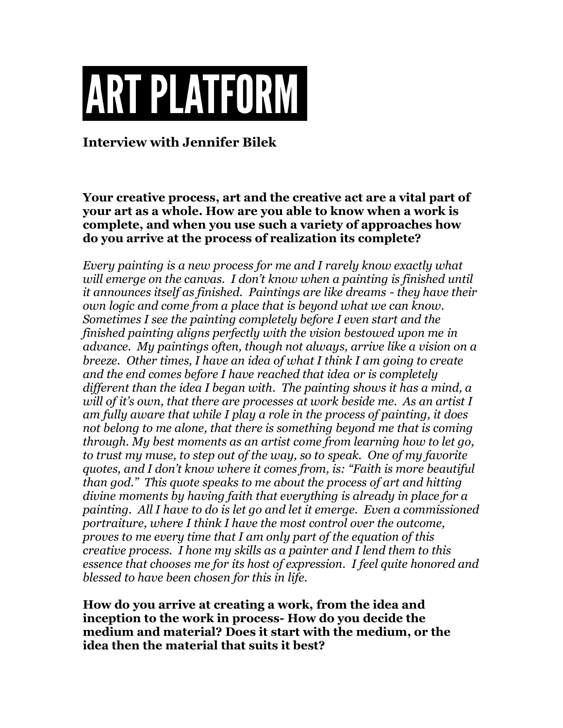## **ART PLATFORM**

**Interview with Jennifer Bilek**

**Your creative process, art and the creative act are a vital part of your art as a whole. How are you able to know when a work is complete, and when you use such a variety of approaches how do you arrive at the process of realization its complete?**

*Every painting is a new process for me and I rarely know exactly what will emerge on the canvas. I don't know when a painting is finished until it announces itself as finished. Paintings are like dreams - they have their own logic and come from a place that is beyond what we can know. Sometimes I see the painting completely before I even start and the finished painting aligns perfectly with the vision bestowed upon me in advance. My paintings often, though not always, arrive like a vision on a breeze. Other times, I have an idea of what I think I am going to create and the end comes before I have reached that idea or is completely different than the idea I began with. The painting shows it has a mind, a will of it's own, that there are processes at work beside me. As an artist I am fully aware that while I play a role in the process of painting, it does not belong to me alone, that there is something beyond me that is coming through. My best moments as an artist come from learning how to let go, to trust my muse, to step out of the way, so to speak. One of my favorite quotes, and I don't know where it comes from, is: "Faith is more beautiful than god." This quote speaks to me about the process of art and hitting divine moments by having faith that everything is already in place for a painting. All I have to do is let go and let it emerge. Even a commissioned portraiture, where I think I have the most control over the outcome, proves to me every time that I am only part of the equation of this creative process. I hone my skills as a painter and I lend them to this essence that chooses me for its host of expression. I feel quite honored and blessed to have been chosen for this in life.* 

**How do you arrive at creating a work, from the idea and inception to the work in process- How do you decide the medium and material? Does it start with the medium, or the idea then the material that suits it best?**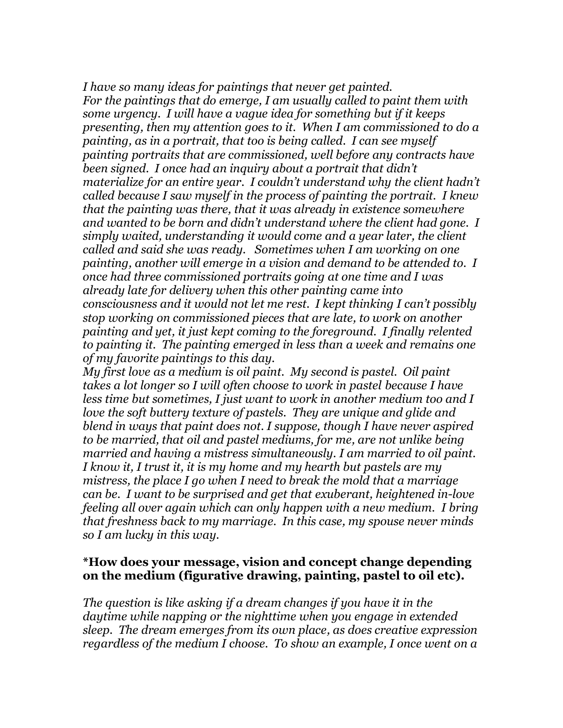*I have so many ideas for paintings that never get painted. For the paintings that do emerge, I am usually called to paint them with some urgency. I will have a vague idea for something but if it keeps presenting, then my attention goes to it. When I am commissioned to do a painting, as in a portrait, that too is being called. I can see myself painting portraits that are commissioned, well before any contracts have been signed. I once had an inquiry about a portrait that didn't materialize for an entire year. I couldn't understand why the client hadn't called because I saw myself in the process of painting the portrait. I knew that the painting was there, that it was already in existence somewhere and wanted to be born and didn't understand where the client had gone. I simply waited, understanding it would come and a year later, the client called and said she was ready. Sometimes when I am working on one painting, another will emerge in a vision and demand to be attended to. I once had three commissioned portraits going at one time and I was already late for delivery when this other painting came into consciousness and it would not let me rest. I kept thinking I can't possibly stop working on commissioned pieces that are late, to work on another painting and yet, it just kept coming to the foreground. I finally relented to painting it. The painting emerged in less than a week and remains one of my favorite paintings to this day.* 

*My first love as a medium is oil paint. My second is pastel. Oil paint takes a lot longer so I will often choose to work in pastel because I have less time but sometimes, I just want to work in another medium too and I love the soft buttery texture of pastels. They are unique and glide and blend in ways that paint does not. I suppose, though I have never aspired to be married, that oil and pastel mediums, for me, are not unlike being married and having a mistress simultaneously. I am married to oil paint. I know it, I trust it, it is my home and my hearth but pastels are my mistress, the place I go when I need to break the mold that a marriage can be. I want to be surprised and get that exuberant, heightened in-love feeling all over again which can only happen with a new medium. I bring that freshness back to my marriage. In this case, my spouse never minds so I am lucky in this way.* 

## **\*How does your message, vision and concept change depending on the medium (figurative drawing, painting, pastel to oil etc).**

*The question is like asking if a dream changes if you have it in the daytime while napping or the nighttime when you engage in extended sleep. The dream emerges from its own place, as does creative expression regardless of the medium I choose. To show an example, I once went on a*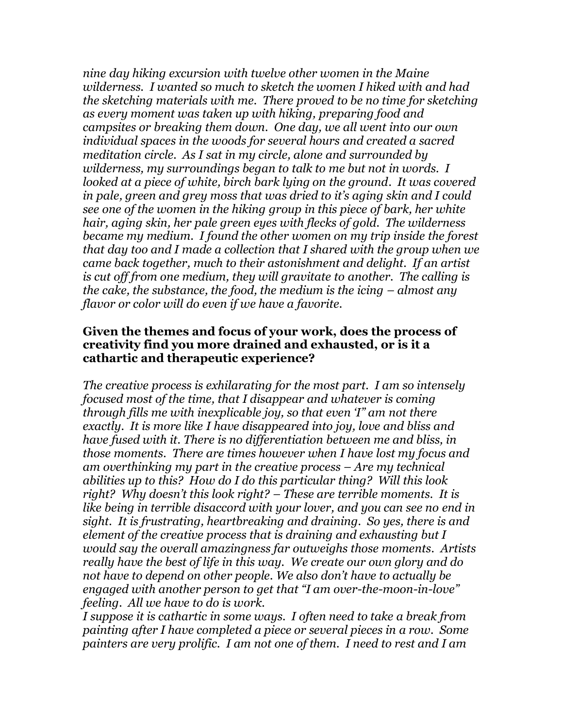*nine day hiking excursion with twelve other women in the Maine wilderness. I wanted so much to sketch the women I hiked with and had the sketching materials with me. There proved to be no time for sketching as every moment was taken up with hiking, preparing food and campsites or breaking them down. One day, we all went into our own individual spaces in the woods for several hours and created a sacred meditation circle. As I sat in my circle, alone and surrounded by wilderness, my surroundings began to talk to me but not in words. I looked at a piece of white, birch bark lying on the ground. It was covered in pale, green and grey moss that was dried to it's aging skin and I could see one of the women in the hiking group in this piece of bark, her white hair, aging skin, her pale green eyes with flecks of gold. The wilderness became my medium. I found the other women on my trip inside the forest that day too and I made a collection that I shared with the group when we came back together, much to their astonishment and delight. If an artist is cut off from one medium, they will gravitate to another. The calling is the cake, the substance, the food, the medium is the icing – almost any flavor or color will do even if we have a favorite.* 

## **Given the themes and focus of your work, does the process of creativity find you more drained and exhausted, or is it a cathartic and therapeutic experience?**

*The creative process is exhilarating for the most part. I am so intensely focused most of the time, that I disappear and whatever is coming through fills me with inexplicable joy, so that even 'I" am not there exactly. It is more like I have disappeared into joy, love and bliss and have fused with it. There is no differentiation between me and bliss, in those moments. There are times however when I have lost my focus and am overthinking my part in the creative process – Are my technical abilities up to this? How do I do this particular thing? Will this look right? Why doesn't this look right? – These are terrible moments. It is like being in terrible disaccord with your lover, and you can see no end in sight. It is frustrating, heartbreaking and draining. So yes, there is and element of the creative process that is draining and exhausting but I would say the overall amazingness far outweighs those moments. Artists really have the best of life in this way. We create our own glory and do not have to depend on other people. We also don't have to actually be engaged with another person to get that "I am over-the-moon-in-love" feeling. All we have to do is work.* 

*I suppose it is cathartic in some ways. I often need to take a break from painting after I have completed a piece or several pieces in a row. Some painters are very prolific. I am not one of them. I need to rest and I am*